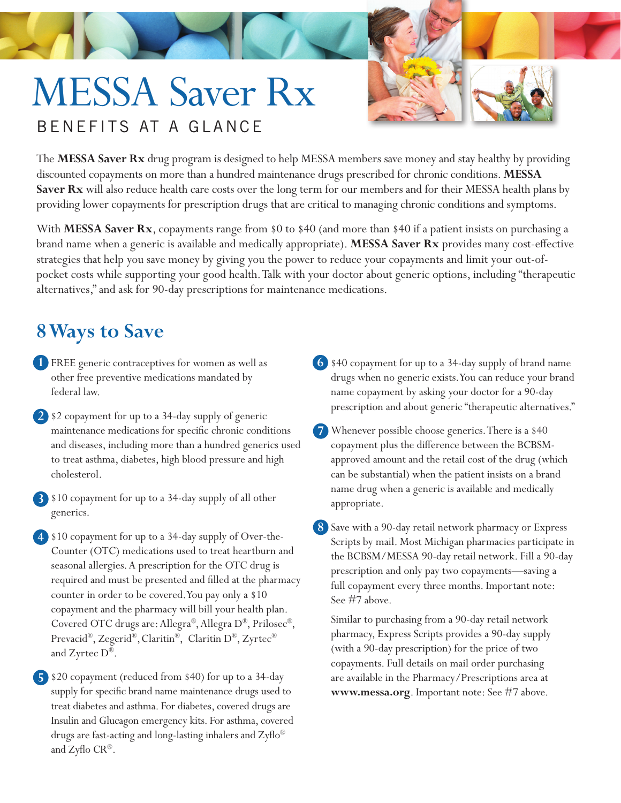## MESSA Saver Rx BENEFITS AT A GLANCE



The **MESSA Saver Rx** drug program is designed to help MESSA members save money and stay healthy by providing discounted copayments on more than a hundred maintenance drugs prescribed for chronic conditions. **MESSA Saver Rx** will also reduce health care costs over the long term for our members and for their MESSA health plans by providing lower copayments for prescription drugs that are critical to managing chronic conditions and symptoms.

With **MESSA Saver Rx**, copayments range from \$0 to \$40 (and more than \$40 if a patient insists on purchasing a brand name when a generic is available and medically appropriate). **MESSA Saver Rx** provides many cost-effective strategies that help you save money by giving you the power to reduce your copayments and limit your out-ofpocket costs while supporting your good health. Talk with your doctor about generic options, including "therapeutic alternatives," and ask for 90-day prescriptions for maintenance medications.

## **8 Ways to Save**

- FREE generic contraceptives for women as well as **1** other free preventive medications mandated by federal law.
- \$2 copayment for up to a 34-day supply of generic **2**maintenance medications for specific chronic conditions and diseases, including more than a hundred generics used to treat asthma, diabetes, high blood pressure and high cholesterol.
- \$10 copayment for up to a 34-day supply of all other **3** generics.
- \$10 copayment for up to a 34-day supply of Over-the-**4** Counter (OTC) medications used to treat heartburn and seasonal allergies. A prescription for the OTC drug is required and must be presented and filled at the pharmacy counter in order to be covered. You pay only a \$10 copayment and the pharmacy will bill your health plan. Covered OTC drugs are: Allegra®, Allegra D®, Prilosec®, Prevacid®, Zegerid®,Claritin®, Claritin D®, Zyrtec® and Zyrtec D®.

\$20 copayment (reduced from \$40) for up to a 34-day **5** supply for specific brand name maintenance drugs used to treat diabetes and asthma. For diabetes, covered drugs are Insulin and Glucagon emergency kits. For asthma, covered drugs are fast-acting and long-lasting inhalers and Zyflo® and Zyflo CR®.

- \$40 copayment for up to a 34-day supply of brand name **6** drugs when no generic exists. You can reduce your brand name copayment by asking your doctor for a 90-day prescription and about generic "therapeutic alternatives."
- Whenever possible choose generics. There is a \$40 **7** copayment plus the difference between the BCBSMapproved amount and the retail cost of the drug (which can be substantial) when the patient insists on a brand name drug when a generic is available and medically appropriate.
- Save with a 90-day retail network pharmacy or Express **8** Scripts by mail. Most Michigan pharmacies participate in the BCBSM/MESSA 90-day retail network. Fill a 90-day prescription and only pay two copayments—saving a full copayment every three months. Important note: See #7 above.

Similar to purchasing from a 90-day retail network pharmacy, Express Scripts provides a 90-day supply (with a 90-day prescription) for the price of two copayments. Full details on mail order purchasing are available in the Pharmacy/Prescriptions area at **www.messa.org**. Important note: See #7 above.